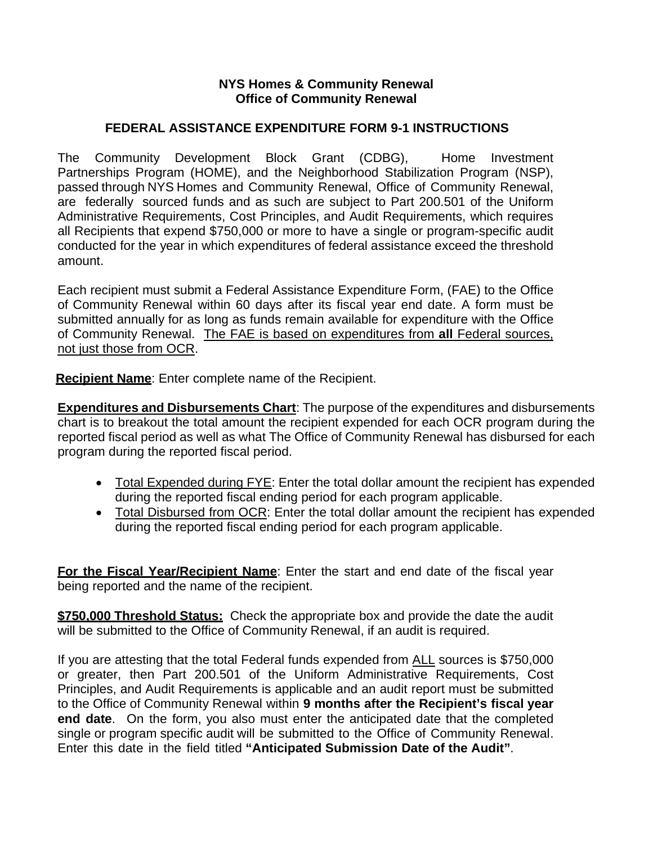## **NYS Homes & Community Renewal Office of Community Renewal**

## **FEDERAL ASSISTANCE EXPENDITURE FORM 9-1 INSTRUCTIONS**

The Community Development Block Grant (CDBG), Home Investment Partnerships Program (HOME), and the Neighborhood Stabilization Program (NSP), passed through NYS Homes and Community Renewal, Office of Community Renewal, are federally sourced funds and as such are subject to Part 200.501 of the Uniform Administrative Requirements, Cost Principles, and Audit Requirements, which requires all Recipients that expend \$750,000 or more to have a single or program-specific audit conducted for the year in which expenditures of federal assistance exceed the threshold amount.

Each recipient must submit a Federal Assistance Expenditure Form, (FAE) to the Office of Community Renewal within 60 days after its fiscal year end date. A form must be submitted annually for as long as funds remain available for expenditure with the Office of Community Renewal. The FAE is based on expenditures from **all** Federal sources, not just those from OCR.

 **Recipient Name**: Enter complete name of the Recipient.

**Expenditures and Disbursements Chart**: The purpose of the expenditures and disbursements chart is to breakout the total amount the recipient expended for each OCR program during the reported fiscal period as well as what The Office of Community Renewal has disbursed for each program during the reported fiscal period.

- Total Expended during FYE: Enter the total dollar amount the recipient has expended during the reported fiscal ending period for each program applicable.
- Total Disbursed from OCR: Enter the total dollar amount the recipient has expended during the reported fiscal ending period for each program applicable.

**For the Fiscal Year/Recipient Name**: Enter the start and end date of the fiscal year being reported and the name of the recipient.

**\$750,000 Threshold Status:** Check the appropriate box and provide the date the audit will be submitted to the Office of Community Renewal, if an audit is required.

If you are attesting that the total Federal funds expended from ALL sources is \$750,000 or greater, then Part 200.501 of the Uniform Administrative Requirements, Cost Principles, and Audit Requirements is applicable and an audit report must be submitted to the Office of Community Renewal within **9 months after the Recipient's fiscal year end date**. On the form, you also must enter the anticipated date that the completed single or program specific audit will be submitted to the Office of Community Renewal. Enter this date in the field titled **"Anticipated Submission Date of the Audit"**.